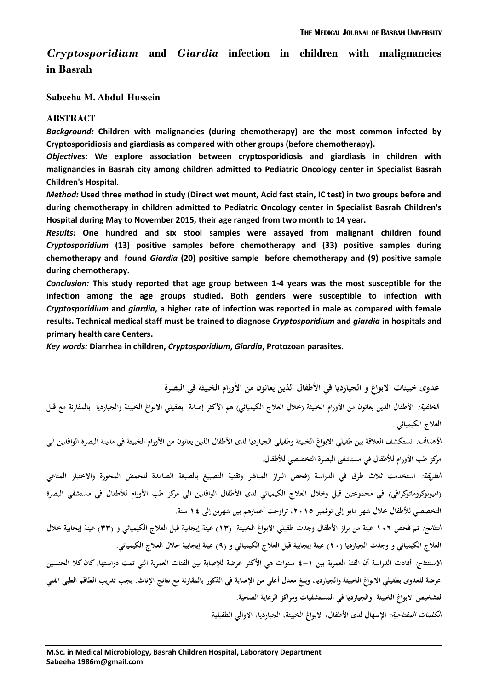*Cryptosporidium* **and** *Giardia* **infection in children with malignancies in Basrah**

**Sabeeha M. Abdul-Hussein** 

#### **ABSTRACT**

*Background:* **Children with malignancies (during chemotherapy) are the most common infected by Cryptosporidiosis and giardiasis as compared with other groups (before chemotherapy).**

*Objectives:* **We explore association between cryptosporidiosis and giardiasis in children with malignancies in Basrah city among children admitted to Pediatric Oncology center in Specialist Basrah Children's Hospital.**

*Method:* **Used three method in study (Direct wet mount, Acid fast stain, IC test) in two groups before and during chemotherapy in children admitted to Pediatric Oncology center in Specialist Basrah Children's Hospital during May to November 2015, their age ranged from two month to 14 year.**

*Results:* **One hundred and six stool samples were assayed from malignant children found**  *Cryptosporidium* **(13) positive samples before chemotherapy and (33) positive samples during chemotherapy and found** *Giardia* **(20) positive sample before chemotherapy and (9) positive sample during chemotherapy.**

*Conclusion:* **This study reported that age group between 1-4 years was the most susceptible for the infection among the age groups studied. Both genders were susceptible to infection with**  *Cryptosporidium* **and** *giardia***, a higher rate of infection was reported in male as compared with female results. Technical medical staff must be trained to diagnose** *Cryptosporidium* **and** *giardia* **in hospitals and primary health care Centers.**

*Key words:* **Diarrhea in children,** *Cryptosporidium***,** *Giardia***, Protozoan parasites.**

**عدوى خبيئات االبواغ و الجيارديا في األطفال الذين يعانون من األورام الخبيثة في البصرة**

ا*لخلفية:* الأطفال الذين يعانون من الأورام الخبيثة (خلال العلاج الكيميائي) هم الأكثر إصابة بطفيلي الابواغ الخبيئة والجيارديا بالمقارنة مع قبل **العالج الكيميائي .**

*الأهداف:* نستكشف العلاقة بين طفيلي الابواغ الخبيئة وطفيلي الجيارديا لدى الأطفال الذين يعانون من الأورام الخبيثة في مدينة البصرة الوافدين الى **مركز طب األورام لألطفال في مستشفى البصرة التخصصي لألطفال.**

**الطريقة: استخدمت ثالث طرق في الدراسة )فحص البراز المباشر وتقنية التصبيغ بالصبغة الصامدة للحمض المحورة واالختبار المناعي )اميونوكروماتوكرافي( في مجموعتين قبل وخالل العالج الكيميائي لدى األطفال الوافدين الى مركز طب األورام لألطفال في مستشفى البصرة التخصصي لألطفال خالل شهر مايو إلى نوفمبر ،5102 تراوحت أعمارهم بين شهرين إلى 01 سنة.**

**النتائج: تم فحص 013 عينة من براز األطفال وجدت طفيلي االبواغ الخبيئة )01( عينة إيجابية قبل العالج الكيميائي و )11( عينة إيجابية خالل**  العلاج الكيميائي و وجدت الجيارديا (٢٠) عينة إيجابية قبل العلاج الكيميائي و (٩) عينة إيجابية خلال العلاج الكيميائي.

**االستنتاج: أفادت الدراسة أن الفئة العمرية بين 1-0 سنوات هي األكثر عرضة لإلصابة بين الفئات العمرية التي تمت دراستها. كان كال الجنسين عرضة للعدوى بطفيلي االبواغ الخبيئة والجيارديا، وبلغ معدل أعلى من اإلصابة في الذكور بالمقارنة مع نتائج اإلناث. يجب تدريب الطاقم الطبي الفني لتشخيص االبواغ الخبيئة والجيارديا في المستشفيات ومراكز الرعاية الصحية.** 

**الكلمات المفتاحية: اإلسهال لدى األطفال، االبواغ الخبيئة، الجيارديا، االوالي الطفيلية.**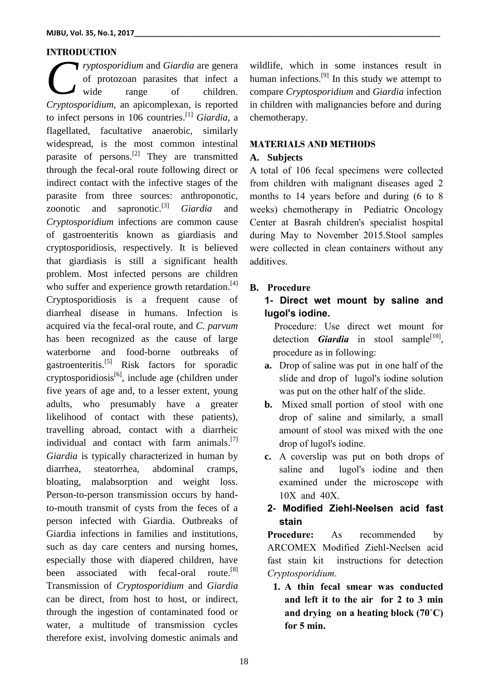### **INTRODUCTION**

*ryptosporidium* and *Giardia* are genera of protozoan parasites that infect a wide range of children. *Cryptosporidium* and *Giardia* are genera<br>
of protozoan parasites that infect a<br>
cryptosporidium, an apicomplexan, is reported to infect persons in 106 countries. [1] *Giardia*, a flagellated, facultative anaerobic, similarly widespread, is the most common intestinal parasite of persons.<sup>[2]</sup> They are transmitted through the fecal-oral route following direct or indirect contact with the infective stages of the parasite from three sources: anthroponotic, zoonotic and sapronotic.<sup>[3]</sup> Giardia and *Cryptosporidium* infections are common cause of gastroenteritis known as giardiasis and cryptosporidiosis, respectively. It is believed that giardiasis is still a significant health problem. Most infected persons are children who suffer and experience growth retardation.<sup>[4]</sup> Cryptosporidiosis is a frequent cause of diarrheal disease in humans. Infection is acquired via the fecal-oral route, and *C. parvum* has been recognized as the cause of large waterborne and food-borne outbreaks of gastroenteritis.<sup>[5]</sup> Risk factors for sporadic cryptosporidiosis<sup>[6]</sup>, include age (children under five years of age and, to a lesser extent, young adults, who presumably have a greater likelihood of contact with these patients), travelling abroad, contact with a diarrheic individual and contact with farm animals.<sup>[7]</sup> *Giardia* is typically characterized in human by diarrhea, steatorrhea, abdominal cramps, bloating, malabsorption and weight loss. Person-to-person transmission occurs by handto-mouth transmit of cysts from the feces of a person infected with Giardia. Outbreaks of Giardia infections in families and institutions, such as day care centers and nursing homes, especially those with diapered children, have been associated with fecal-oral route. $[8]$ Transmission of *Cryptosporidium* and *Giardia* can be direct, from host to host, or indirect, through the ingestion of contaminated food or water, a multitude of transmission cycles therefore exist, involving domestic animals and

wildlife, which in some instances result in human infections.<sup>[9]</sup> In this study we attempt to compare *Cryptosporidium* and *Giardia* infection in children with malignancies before and during chemotherapy.

#### **MATERIALS AND METHODS**

#### **A. Subjects**

A total of 106 fecal specimens were collected from children with malignant diseases aged 2 months to 14 years before and during (6 to 8 weeks) chemotherapy in Pediatric Oncology Center at Basrah children's specialist hospital during May to November 2015.Stool samples were collected in clean containers without any additives.

## **B. Procedure**

# **1- Direct wet mount by saline and lugol's iodine.**

 Procedure: Use direct wet mount for detection *Giardia* in stool sample<sup>[10]</sup>, procedure as in following:

- **a.** Drop of saline was put in one half of the slide and drop of lugol's iodine solution was put on the other half of the slide.
- **b.** Mixed small portion of stool with one drop of saline and similarly, a small amount of stool was mixed with the one drop of lugol's iodine.
- **c.** A coverslip was put on both drops of saline and lugol's iodine and then examined under the microscope with 10X and 40X.

## **2- Modified Ziehl-Neelsen acid fast stain**

**Procedure:** As recommended by ARCOMEX Modified Ziehl-Neelsen acid fast stain kit instructions for detection *Cryptosporidium*.

**1. A thin fecal smear was conducted and left it to the air for 2 to 3 min and drying on a heating block (70˚C) for 5 min.**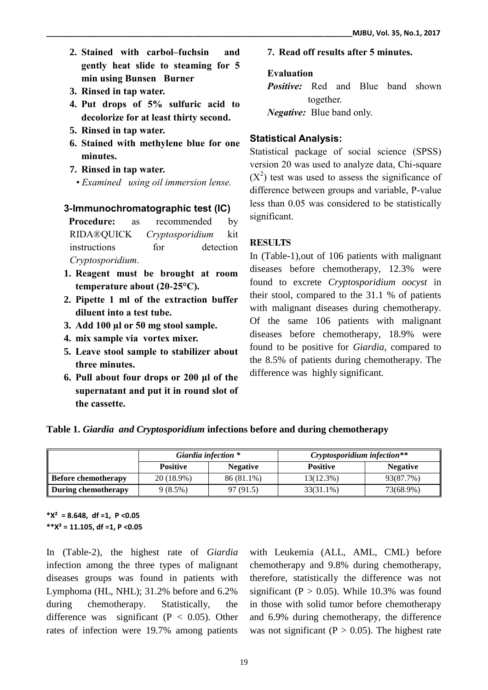- **2. Stained with carbol–fuchsin and gently heat slide to steaming for 5 min using Bunsen Burner**
- **3. Rinsed in tap water.**
- **4. Put drops of 5% sulfuric acid to decolorize for at least thirty second.**
- **5. Rinsed in tap water.**
- **6. Stained with methylene blue for one minutes.**
- **7. Rinsed in tap water.**
- *Examined using oil immersion lense.*

## **3-Immunochromatographic test (IC)**

 **Procedure:** as recommended by RIDA®QUICK *Cryptosporidium* kit instructions for detection *Cryptosporidium*.

- **1. Reagent must be brought at room temperature about (20-25°C).**
- **2. Pipette 1 ml of the extraction buffer diluent into a test tube.**
- **3. Add 100 µl or 50 mg stool sample.**
- **4. mix sample via vortex mixer.**
- **5. Leave stool sample to stabilizer about three minutes.**
- **6. Pull about four drops or 200 μl of the supernatant and put it in round slot of the cassette.**

### **7. Read off results after 5 minutes.**

### **Evaluation**

*Positive:* Red and Blue band shown together.

*Negative:* Blue band only.

## **Statistical Analysis:**

Statistical package of social science (SPSS) version 20 was used to analyze data, Chi-square  $(X^2)$  test was used to assess the significance of difference between groups and variable, P-value less than 0.05 was considered to be statistically significant.

## **RESULTS**

In (Table-1),out of 106 patients with malignant diseases before chemotherapy, 12.3% were found to excrete *Cryptosporidium oocyst* in their stool, compared to the 31.1 % of patients with malignant diseases during chemotherapy. Of the same 106 patients with malignant diseases before chemotherapy, 18.9% were found to be positive for *Giardia*, compared to the 8.5% of patients during chemotherapy. The difference was highly significant.

|  | Table 1. Giardia and Cryptosporidium infections before and during chemotherapy |  |  |
|--|--------------------------------------------------------------------------------|--|--|
|  |                                                                                |  |  |

|                            |                 | Giardia infection * | Cryptosporidium infection** |                 |  |
|----------------------------|-----------------|---------------------|-----------------------------|-----------------|--|
|                            | <b>Positive</b> | <b>Negative</b>     | <b>Positive</b>             | <b>Negative</b> |  |
| <b>Before chemotherapy</b> | 20 (18.9%)      | 86 (81.1%)          | $13(12.3\%)$                | 93(87.7%)       |  |
| During chemotherapy        | 9(8.5%)         | 97 (91.5)           | 33(31.1%)                   | 73(68.9%)       |  |

**\*X² = 8.648, df =1, P <0.05 \*\*X² = 11.105, df =1, P <0.05**

In (Table-2), the highest rate of *Giardia*  infection among the three types of malignant diseases groups was found in patients with Lymphoma (HL, NHL); 31.2% before and 6.2% during chemotherapy. Statistically, the difference was significant ( $P < 0.05$ ). Other rates of infection were 19.7% among patients

with Leukemia (ALL, AML, CML) before chemotherapy and 9.8% during chemotherapy, therefore, statistically the difference was not significant ( $P > 0.05$ ). While 10.3% was found in those with solid tumor before chemotherapy and 6.9% during chemotherapy, the difference was not significant ( $P > 0.05$ ). The highest rate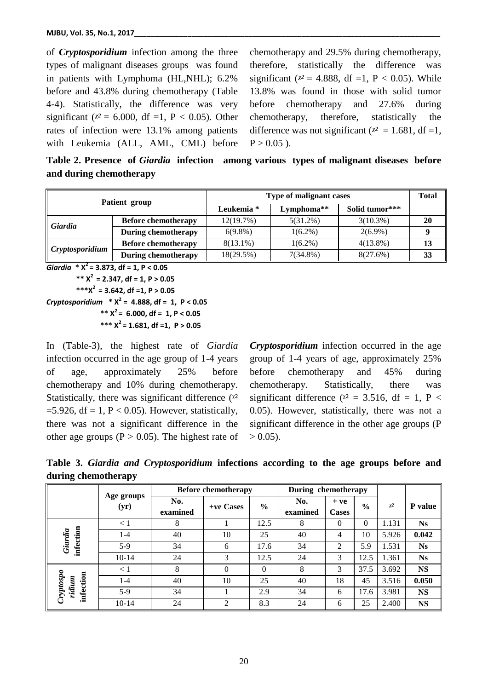of *Cryptosporidium* infection among the three types of malignant diseases groups was found in patients with Lymphoma (HL,NHL); 6.2% before and 43.8% during chemotherapy (Table 4-4). Statistically, the difference was very significant ( $x^2 = 6.000$ , df =1, P < 0.05). Other rates of infection were 13.1% among patients with Leukemia (ALL, AML, CML) before chemotherapy and 29.5% during chemotherapy, therefore, statistically the difference was significant ( $x^2 = 4.888$ , df =1, P < 0.05). While 13.8% was found in those with solid tumor before chemotherapy and 27.6% during chemotherapy, therefore, statistically the difference was not significant ( $x^2 = 1.681$ , df =1,  $P > 0.05$ ).

**Table 2. Presence of** *Giardia* **infection among various types of malignant diseases before and during chemotherapy**

| Patient group   |                            | <b>Type of malignant cases</b> | <b>Total</b> |                |    |
|-----------------|----------------------------|--------------------------------|--------------|----------------|----|
|                 |                            | Leukemia *                     | Lymphoma**   | Solid tumor*** |    |
| Giardia         | <b>Before chemotherapy</b> | 12(19.7%)                      | $5(31.2\%)$  | $3(10.3\%)$    | 20 |
|                 | During chemotherapy        | $6(9.8\%)$                     | $1(6.2\%)$   | $2(6.9\%)$     |    |
| Cryptosporidium | <b>Before chemotherapy</b> | $8(13.1\%)$                    | $1(6.2\%)$   | $4(13.8\%)$    | 13 |
|                 | <b>During chemotherapy</b> | 18(29.5%)                      | $7(34.8\%)$  | 8(27.6%)       | 33 |

*Giardia* **\* X<sup>2</sup> = 3.873, df = 1, P < 0.05** 

 **\*\* X<sup>2</sup> = 2.347, df = 1, P > 0.05**

 **\*\*\*X<sup>2</sup> = 3.642, df =1, P > 0.05**

*Cryptosporidium* **\* X<sup>2</sup> = 4.888, df = 1, P < 0.05**  $*$ **\***  $x^2$  = 6.000, df = 1, P < 0.05  **\*\*\* X<sup>2</sup> = 1.681, df =1, P > 0.05**

In (Table-3), the highest rate of *Giardia*  infection occurred in the age group of 1-4 years of age, approximately 25% before chemotherapy and 10% during chemotherapy. Statistically, there was significant difference  $(x^2)$ =5.926, df = 1, P < 0.05). However, statistically, there was not a significant difference in the other age groups ( $P > 0.05$ ). The highest rate of

*Cryptosporidium* infection occurred in the age group of 1-4 years of age, approximately 25% before chemotherapy and 45% during chemotherapy. Statistically, there was significant difference ( $x^2 = 3.516$ , df = 1, P < 0.05). However, statistically, there was not a significant difference in the other age groups (P  $> 0.05$ ).

**Table 3.** *Giardia and Cryptosporidium* **infections according to the age groups before and during chemotherapy**

|                                  |                    | <b>Before chemotherapy</b> |           | During chemotherapy |                 |                       |               |          |           |
|----------------------------------|--------------------|----------------------------|-----------|---------------------|-----------------|-----------------------|---------------|----------|-----------|
|                                  | Age groups<br>(yr) | No.<br>examined            | +ve Cases | $\frac{6}{9}$       | No.<br>examined | $+ve$<br><b>Cases</b> | $\frac{0}{0}$ | $\chi^2$ | P value   |
| infection<br>Giardia             | $\lt 1$            | 8                          |           | 12.5                | 8               | $\theta$              | $\Omega$      | 1.131    | <b>Ns</b> |
|                                  | 1-4                | 40                         | 10        | 25                  | 40              | 4                     | 10            | 5.926    | 0.042     |
|                                  | $5-9$              | 34                         | 6         | 17.6                | 34              | $\overline{2}$        | 5.9           | 1.531    | <b>Ns</b> |
|                                  | $10 - 14$          | 24                         | 3         | 12.5                | 24              | 3                     | 12.5          | 1.361    | <b>Ns</b> |
| Cryptospo<br>infection<br>ridium | $\lt 1$            | 8                          | 0         | $\Omega$            | 8               | 3                     | 37.5          | 3.692    | <b>NS</b> |
|                                  | $1 - 4$            | 40                         | 10        | 25                  | 40              | 18                    | 45            | 3.516    | 0.050     |
|                                  | $5-9$              | 34                         |           | 2.9                 | 34              | 6                     | 17.6          | 3.981    | <b>NS</b> |
|                                  | $10 - 14$          | 24                         | 2         | 8.3                 | 24              | 6                     | 25            | 2.400    | <b>NS</b> |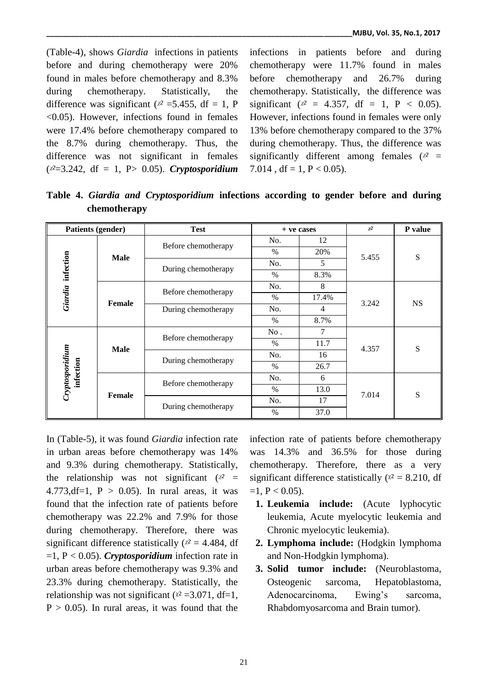(Table-4), shows *Giardia* infections in patients before and during chemotherapy were 20% found in males before chemotherapy and 8.3% during chemotherapy. Statistically, the difference was significant ( $x^2$  =5.455, df = 1, P <0.05). However, infections found in females were 17.4% before chemotherapy compared to the 8.7% during chemotherapy. Thus, the difference was not significant in females (*ᵡ²*=3.242, df = 1, P> 0.05). *Cryptosporidium*

infections in patients before and during chemotherapy were 11.7% found in males before chemotherapy and 26.7% during chemotherapy. Statistically, the difference was significant ( $x^2 = 4.357$ , df = 1, P < 0.05). However, infections found in females were only 13% before chemotherapy compared to the 37% during chemotherapy. Thus, the difference was significantly different among females  $(x^2 =$ 7.014, df = 1, P < 0.05).

**Table 4.** *Giardia and Cryptosporidium* **infections according to gender before and during chemotherapy**

| <b>Patients (gender)</b>       |               | <b>Test</b>                                |      | + ve cases     |       | P value   |
|--------------------------------|---------------|--------------------------------------------|------|----------------|-------|-----------|
|                                |               | Before chemotherapy                        | No.  | 12             | 5.455 | ${\bf S}$ |
|                                |               |                                            | $\%$ | 20%            |       |           |
|                                | <b>Male</b>   |                                            | No.  | 5              |       |           |
| infection                      |               | During chemotherapy                        | $\%$ | 8.3%           |       |           |
|                                |               | Before chemotherapy<br>During chemotherapy | No.  | 8              |       | <b>NS</b> |
| Giardia                        | <b>Female</b> |                                            | $\%$ | 17.4%          | 3.242 |           |
|                                |               |                                            | No.  | $\overline{4}$ |       |           |
|                                |               |                                            | $\%$ | 8.7%           |       |           |
|                                | <b>Male</b>   | Before chemotherapy                        | No.  | 7              | 4.357 | ${\bf S}$ |
|                                |               |                                            | $\%$ | 11.7           |       |           |
|                                |               | During chemotherapy                        | No.  | 16             |       |           |
|                                |               |                                            | $\%$ | 26.7           |       |           |
| Cryp to sporidium<br>infection | <b>Female</b> | Before chemotherapy                        | No.  | 6              | 7.014 | S         |
|                                |               |                                            | $\%$ | 13.0           |       |           |
|                                |               | During chemotherapy                        | No.  | 17             |       |           |
|                                |               |                                            | $\%$ | 37.0           |       |           |

In (Table-5), it was found *Giardia* infection rate in urban areas before chemotherapy was 14% and 9.3% during chemotherapy. Statistically, the relationship was not significant  $(x^2 =$ 4.773,df=1,  $P > 0.05$ ). In rural areas, it was found that the infection rate of patients before chemotherapy was 22.2% and 7.9% for those during chemotherapy. Therefore, there was significant difference statistically  $(x^2 = 4.484$ , df =1, P < 0.05). *Cryptosporidium* infection rate in urban areas before chemotherapy was 9.3% and 23.3% during chemotherapy. Statistically, the relationship was not significant ( $x^2 = 3.071$ , df=1,  $P > 0.05$ ). In rural areas, it was found that the infection rate of patients before chemotherapy was 14.3% and 36.5% for those during chemotherapy. Therefore, there as a very significant difference statistically ( $x^2 = 8.210$ , df  $=1, P < 0.05$ ).

- **1. Leukemia include:** (Acute lyphocytic leukemia, Acute myelocytic leukemia and Chronic myelocytic leukemia).
- **2. Lymphoma include:** (Hodgkin lymphoma and Non-Hodgkin lymphoma).
- **3. Solid tumor include:** (Neuroblastoma, Osteogenic sarcoma, Hepatoblastoma, Adenocarcinoma, Ewing's sarcoma, Rhabdomyosarcoma and Brain tumor).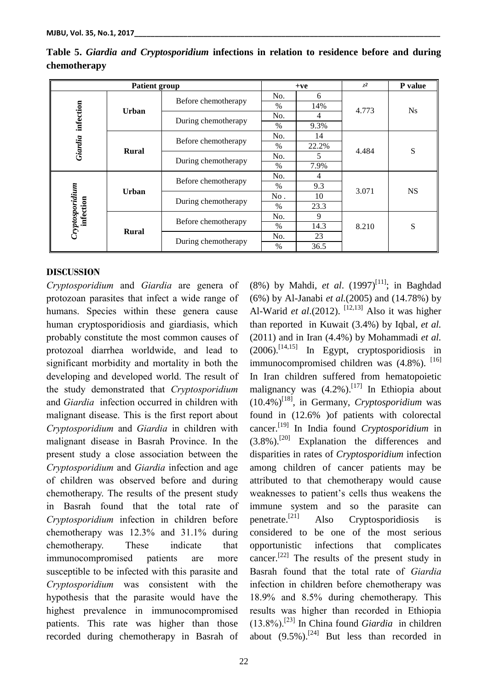| <b>Patient group</b>         |              |                     |      | $+ve$ |       | P value   |
|------------------------------|--------------|---------------------|------|-------|-------|-----------|
|                              |              | Before chemotherapy | No.  | 6     |       |           |
|                              | <b>Urban</b> |                     | $\%$ | 14%   | 4.773 | <b>Ns</b> |
| infection                    |              | During chemotherapy | No.  | 4     |       |           |
|                              |              |                     | $\%$ | 9.3%  |       |           |
|                              |              | Before chemotherapy | No.  | 14    | 4.484 | S         |
| Giardia                      | <b>Rural</b> |                     | $\%$ | 22.2% |       |           |
|                              |              | During chemotherapy | No.  | 5.    |       |           |
|                              |              |                     | $\%$ | 7.9%  |       |           |
|                              | <b>Urban</b> | Before chemotherapy | No.  | 4     |       |           |
|                              |              |                     | $\%$ | 9.3   | 3.071 | <b>NS</b> |
|                              |              | During chemotherapy | No.  | 10    |       |           |
|                              |              |                     | $\%$ | 23.3  |       |           |
| Cryptosporidium<br>infection | <b>Rural</b> | Before chemotherapy | No.  | 9     |       |           |
|                              |              |                     | $\%$ | 14.3  | 8.210 | S         |
|                              |              | During chemotherapy | No.  | 23    |       |           |
|                              |              |                     | $\%$ | 36.5  |       |           |

**Table 5.** *Giardia and Cryptosporidium* **infections in relation to residence before and during chemotherapy**

#### **DISCUSSION**

*Cryptosporidium* and *Giardia* are genera of protozoan parasites that infect a wide range of humans. Species within these genera cause human cryptosporidiosis and giardiasis, which probably constitute the most common causes of protozoal diarrhea worldwide, and lead to significant morbidity and mortality in both the developing and developed world. The result of the study demonstrated that *Cryptosporidium*  and *Giardia* infection occurred in children with malignant disease. This is the first report about *Cryptosporidium* and *Giardia* in children with malignant disease in Basrah Province. In the present study a close association between the *Cryptosporidium* and *Giardia* infection and age of children was observed before and during chemotherapy. The results of the present study in Basrah found that the total rate of *Cryptosporidium* infection in children before chemotherapy was 12.3% and 31.1% during chemotherapy. These indicate that immunocompromised patients are more susceptible to be infected with this parasite and *Cryptosporidium* was consistent with the hypothesis that the parasite would have the highest prevalence in immunocompromised patients. This rate was higher than those recorded during chemotherapy in Basrah of (8%) by Mahdi, *et al.* (1997)<sup>[11]</sup>; in Baghdad (6%) by Al-Janabi *et al.*(2005) and (14.78%) by Al-Warid *et al*.(2012). <sup>[12,13]</sup> Also it was higher than reported in Kuwait (3.4%) by Iqbal, *et al.*  (2011) and in Iran (4.4%) by Mohammadi *et al.*  (2006). [14,15] In Egypt, cryptosporidiosis in immunocompromised children was (4.8%). [16] In Iran children suffered from hematopoietic malignancy was (4.2%).<sup>[17]</sup> In Ethiopia about  $(10.4\%)^{[18]}$ , in Germany, *Cryptosporidium* was found in (12.6% )of patients with colorectal cancer. [19] In India found *Cryptosporidium* in  $(3.8\%)$ .<sup>[20]</sup> Explanation the differences and disparities in rates of *Cryptosporidium* infection among children of cancer patients may be attributed to that chemotherapy would cause weaknesses to patient's cells thus weakens the immune system and so the parasite can penetrate.<sup>[21]</sup> Also Cryptosporidiosis is considered to be one of the most serious opportunistic infections that complicates cancer.<sup>[22]</sup> The results of the present study in Basrah found that the total rate of *Giardia*  infection in children before chemotherapy was 18.9% and 8.5% during chemotherapy. This results was higher than recorded in Ethiopia (13.8%). [23] In China found *Giardia* in children about  $(9.5\%)$ .<sup>[24]</sup> But less than recorded in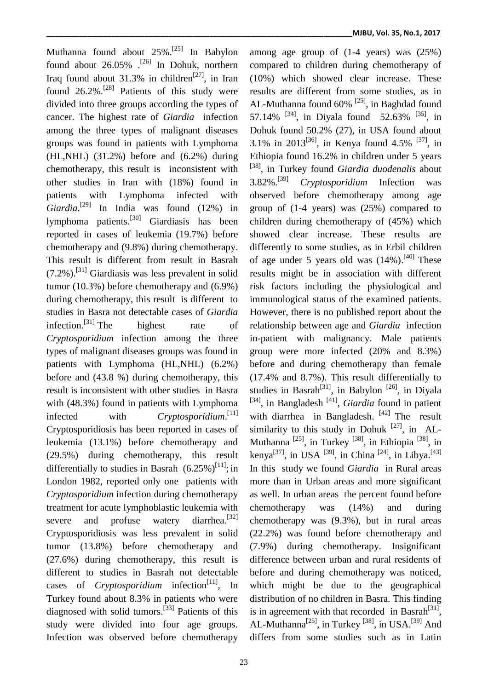Muthanna found about 25%. [25] In Babylon found about  $26.05\%$  . <sup>[26]</sup> In Dohuk, northern Iraq found about  $31.3\%$  in children<sup>[27]</sup>, in Iran found 26.2%.<sup>[28]</sup> Patients of this study were divided into three groups according the types of cancer. The highest rate of *Giardia* infection among the three types of malignant diseases groups was found in patients with Lymphoma (HL,NHL) (31.2%) before and (6.2%) during chemotherapy, this result is inconsistent with other studies in Iran with (18%) found in patients with Lymphoma infected with *Giardia*. [29] In India was found (12%) in lymphoma patients.<sup>[30]</sup> Giardiasis has been reported in cases of leukemia (19.7%) before chemotherapy and (9.8%) during chemotherapy. This result is different from result in Basrah  $(7.2\%)$ .<sup>[31]</sup> Giardiasis was less prevalent in solid tumor (10.3%) before chemotherapy and (6.9%) during chemotherapy, this result is different to studies in Basra not detectable cases of *Giardia*  infection.<sup>[31]</sup> The highest rate of *Cryptosporidium* infection among the three types of malignant diseases groups was found in patients with Lymphoma (HL,NHL) (6.2%) before and (43.8 %) during chemotherapy, this result is inconsistent with other studies in Basra with (48.3%) found in patients with Lymphoma infected with *Cryptosporidium*. [11] Cryptosporidiosis has been reported in cases of leukemia (13.1%) before chemotherapy and (29.5%) during chemotherapy, this result differentially to studies in Basrah  $(6.25\%)^{[11]}$ ; in London 1982, reported only one patients with *Cryptosporidium* infection during chemotherapy treatment for acute lymphoblastic leukemia with severe and profuse watery diarrhea.<sup>[32]</sup> Cryptosporidiosis was less prevalent in solid tumor (13.8%) before chemotherapy and (27.6%) during chemotherapy, this result is different to studies in Basrah not detectable cases of *Cryptosporidium* infection<sup>[11]</sup>, In Turkey found about 8.3% in patients who were diagnosed with solid tumors.<sup>[33]</sup> Patients of this study were divided into four age groups. Infection was observed before chemotherapy

among age group of (1-4 years) was (25%) compared to children during chemotherapy of (10%) which showed clear increase. These results are different from some studies, as in AL-Muthanna found  $60\%$ <sup>[25]</sup>, in Baghdad found 57.14% <sup>[34]</sup>, in Diyala found 52.63% <sup>[35]</sup>, in Dohuk found 50.2% (27), in USA found about 3.1% in 2013<sup>[36]</sup>, in Kenya found 4.5% <sup>[37]</sup>, in Ethiopia found 16.2% in children under 5 years [38] , in Turkey found *Giardia duodenalis* about  $3.82\%$ . [39] [39] *Cryptosporidium* Infection was observed before chemotherapy among age group of (1-4 years) was (25%) compared to children during chemotherapy of (45%) which showed clear increase. These results are differently to some studies, as in Erbil children of age under 5 years old was  $(14%)$ . <sup>[40]</sup> These results might be in association with different risk factors including the physiological and immunological status of the examined patients. However, there is no published report about the relationship between age and *Giardia* infection in-patient with malignancy. Male patients group were more infected (20% and 8.3%) before and during chemotherapy than female (17.4% and 8.7%). This result differentially to studies in Basrah<sup>[31]</sup>, in Babylon<sup>[26]</sup>, in Diyala <sup>[34]</sup>, in Bangladesh<sup>[41]</sup>, *Giardia* found in patient with diarrhea in Bangladesh.<sup>[42]</sup> The result similarity to this study in Dohuk  $^{[27]}$ , in AL-Muthanna <sup>[25]</sup>, in Turkey <sup>[38]</sup>, in Ethiopia <sup>[38]</sup>, in kenya<sup>[37]</sup>, in USA <sup>[39]</sup>, in China <sup>[24]</sup>, in Libya.<sup>[43]</sup> In this study we found *Giardia* in Rural areas more than in Urban areas and more significant as well. In urban areas the percent found before chemotherapy was (14%) and during chemotherapy was (9.3%), but in rural areas (22.2%) was found before chemotherapy and (7.9%) during chemotherapy. Insignificant difference between urban and rural residents of before and during chemotherapy was noticed, which might be due to the geographical distribution of no children in Basra. This finding is in agreement with that recorded in Basrah<sup>[31]</sup>, AL-Muthanna<sup>[25]</sup>, in Turkey<sup>[38]</sup>, in USA.<sup>[39]</sup> And differs from some studies such as in Latin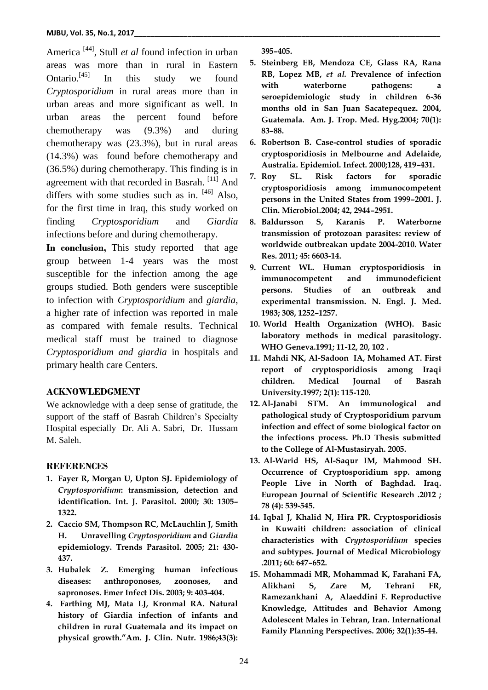America [44] , Stull *et al* found infection in urban areas was more than in rural in Eastern Ontario.<sup>[45]</sup> In this study we found *Cryptosporidium* in rural areas more than in urban areas and more significant as well. In urban areas the percent found before chemotherapy was (9.3%) and during chemotherapy was (23.3%), but in rural areas (14.3%) was found before chemotherapy and (36.5%) during chemotherapy. This finding is in agreement with that recorded in Basrah.<sup>[11]</sup> And differs with some studies such as in. <sup>[46]</sup> Also, for the first time in Iraq, this study worked on finding *Cryptosporidium* and *Giardia*  infections before and during chemotherapy.

In conclusion, This study reported that age group between 1-4 years was the most susceptible for the infection among the age groups studied. Both genders were susceptible to infection with *Cryptosporidium* and *giardia*, a higher rate of infection was reported in male as compared with female results. Technical medical staff must be trained to diagnose *Cryptosporidium and giardia* in hospitals and primary health care Centers.

#### **ACKNOWLEDGMENT**

We acknowledge with a deep sense of gratitude, the support of the staff of Basrah Children's Specialty Hospital especially Dr. Ali A. Sabri, Dr. Hussam M. Saleh.

#### **REFERENCES**

- **1. Fayer R, Morgan U, Upton SJ. Epidemiology of**  *Cryptosporidium***: transmission, detection and identification. Int. J. Parasitol. 2000; 30: 1305– 1322.**
- **2. Caccio SM,****Thompson RC, McLauchlin J, Smith H. Unravelling** *Cryptosporidium* **and** *Giardia*  **epidemiology. Trends Parasitol. 2005; 21: 430- 437.**
- **3. Hubalek Z. Emerging human infectious diseases: anthroponoses, zoonoses, and sapronoses. Emer Infect Dis. 2003; 9: 403-404.**
- **4. Farthing MJ, Mata LJ, Kronmal RA. Natural history of Giardia infection of infants and children in rural Guatemala and its impact on physical growth."Am. J. Clin. Nutr. 1986;43(3):**

**395–405.**

- **5. Steinberg EB, Mendoza CE, Glass RA, Rana RB, Lopez MB,** *et al.* **Prevalence of infection with waterborne pathogens: a seroepidemiologic study in children 6-36 months old in San Juan Sacatepequez. 2004, Guatemala. Am. J. Trop. Med. Hyg.2004; 70(1): 83–88.**
- **6. Robertson B. Case-control studies of sporadic cryptosporidiosis in Melbourne and Adelaide, Australia. Epidemiol. Infect. 2000;128, 419–431.**
- **7. Roy SL. Risk factors for sporadic cryptosporidiosis among immunocompetent persons in the United States from 1999–2001. J. Clin. Microbiol.2004; 42, 2944–2951.**
- **8. Baldursson S, Karanis P. Waterborne transmission of protozoan parasites: review of worldwide outbreakan update 2004-2010. Water Res. 2011; 45: 6603-14.**
- **9. Current WL. Human cryptosporidiosis in immunocompetent and immunodeficient persons. Studies of an outbreak and experimental transmission. N. Engl. J. Med. 1983; 308, 1252–1257.**
- **10. World Health Organization (WHO). Basic laboratory methods in medical parasitology. WHO Geneva.1991; 11-12, 20, 102 .**
- **11. Mahdi NK, Al-Sadoon IA, Mohamed AT. First report of cryptosporidiosis among Iraqi children. Medical Journal of Basrah University.1997; 2(1): 115-120.**
- **12. Al-Janabi STM. An immunological and pathological study of Cryptosporidium parvum infection and effect of some biological factor on the infections process. Ph.D Thesis submitted to the College of Al-Mustasiryah. 2005.**
- **13. Al-Warid HS, Al-Saqur IM, Mahmood SH. Occurrence of Cryptosporidium spp. among People Live in North of Baghdad. Iraq. European Journal of Scientific Research .2012 ; 78 (4): 539-545.**
- **14. Iqbal J, Khalid N, Hira PR. Cryptosporidiosis in Kuwaiti children: association of clinical characteristics with** *Cryptosporidium* **species and subtypes. Journal of Medical Microbiology .2011; 60: 647–652.**
- **15. Mohammadi MR, Mohammad K, Farahani FA, Alikhani S, Zare M, Tehrani FR, Ramezankhani A, Alaeddini F. Reproductive Knowledge, Attitudes and Behavior Among Adolescent Males in Tehran, Iran. International Family Planning Perspectives. 2006; 32(1):35-44.**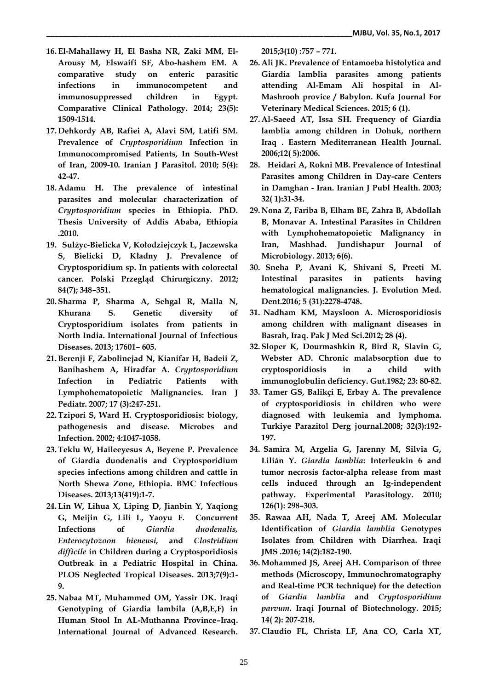- **16. El-Mahallawy H, El Basha NR, Zaki MM, El-Arousy M, Elswaifi SF, Abo-hashem EM. A comparative study on enteric parasitic infections in immunocompetent and immunosuppressed children in Egypt. Comparative Clinical Pathology. 2014; 23(5): 1509-1514.**
- **17. Dehkordy AB, Rafiei A, Alavi SM, Latifi SM. Prevalence of** *Cryptosporidium* **Infection in Immunocompromised Patients, In South-West of Iran, 2009-10. Iranian J Parasitol. 2010; 5(4): 42-47.**
- **18. Adamu H. The prevalence of intestinal parasites and molecular characterization of**  *Cryptosporidium* **species in Ethiopia. PhD. Thesis University of Addis Ababa, Ethiopia .2010.**
- **19. Sulżyc-Bielicka V, Kołodziejczyk L, Jaczewska S, Bielicki D, Kładny J. Prevalence of Cryptosporidium sp. In patients with colorectal cancer. Polski Przegląd Chirurgiczny. 2012; 84(7); 348–351.**
- **20. Sharma P, Sharma A, Sehgal R, Malla N, Khurana S. Genetic diversity of Cryptosporidium isolates from patients in North India. International Journal of Infectious Diseases. 2013; 17601– 605.**
- **21.Berenji F, Zabolinejad N, Kianifar H, Badeii Z, Banihashem A, Hiradfar A.** *Cryptosporidium* **Infection in Pediatric Patients with Lymphohematopoietic Malignancies. Iran J Pediatr. 2007; 17 (3):247-251.**
- **22.Tzipori S, Ward H. Cryptosporidiosis: biology, pathogenesis and disease. Microbes and Infection. 2002; 4:1047-1058.**
- **23.Teklu W, Haileeyesus A, Beyene P. Prevalence of Giardia duodenalis and Cryptosporidium species infections among children and cattle in North Shewa Zone, Ethiopia. BMC Infectious Diseases. 2013;13(419):1-7.**
- **24. Lin W, Lihua X, Liping D, Jianbin Y, Yaqiong G, Meijin G, Lili L, Yaoyu F. Concurrent Infections of** *Giardia duodenalis, Enterocytozoon bieneusi,* **and** *Clostridium difficile* **in Children during a Cryptosporidiosis Outbreak in a Pediatric Hospital in China. PLOS Neglected Tropical Diseases. 2013;7(9):1- 9.**
- **25. Nabaa MT, Muhammed OM, Yassir DK. Iraqi Genotyping of Giardia lambila (A,B,E,F) in Human Stool In AL-Muthanna Province–Iraq. International Journal of Advanced Research.**

**2015;3(10) :757 – 771.**

- **26. Ali JK. Prevalence of Entamoeba histolytica and Giardia lamblia parasites among patients attending Al-Emam Ali hospital in Al-Mashrooh provice / Babylon. Kufa Journal For Veterinary Medical Sciences. 2015; 6 (1).**
- **27. Al-Saeed AT, Issa SH. Frequency of Giardia lamblia among children in Dohuk, northern Iraq . Eastern Mediterranean Health Journal. 2006;12( 5):2006.**
- **28. Heidari A, Rokni MB. Prevalence of Intestinal Parasites among Children in Day-care Centers in Damghan - Iran. Iranian J Publ Health. 2003; 32( 1):31-34.**
- **29. Nona Z, Fariba B, Elham BE, Zahra B, Abdollah B, Monavar A. Intestinal Parasites in Children with Lymphohematopoietic Malignancy in Iran, Mashhad. Jundishapur Journal of Microbiology. 2013; 6(6).**
- **30. Sneha P, Avani K, Shivani S, Preeti M. Intestinal parasites in patients having hematological malignancies. J. Evolution Med. Dent.2016; 5 (31):2278-4748.**
- **31. Nadham KM, Maysloon A. Microsporidiosis among children with malignant diseases in Basrah, Iraq. Pak J Med Sci.2012; 28 (4).**
- **32. Sloper K, Dourmashkin R, Bird R, Slavin G, Webster AD. Chronic malabsorption due to cryptosporidiosis in a child with immunoglobulin deficiency. Gut.1982; 23: 80-82.**
- **33. Tamer GS, Balikçi E, Erbay A. The prevalence of cryptosporidiosis in children who were diagnosed with leukemia and lymphoma. Turkiye Parazitol Derg journal.2008; 32(3):192- 197.**
- **34. Samira M, Argelia G, Jarenny M, Silvia G, Lilián Y.** *Giardia lamblia***: Interleukin 6 and tumor necrosis factor-alpha release from mast cells induced through an Ig-independent pathway. Experimental Parasitology. 2010; 126(1): 298–303.**
- **35. Rawaa AH, Nada T, Areej AM. Molecular Identification of** *Giardia lamblia* **Genotypes Isolates from Children with Diarrhea. Iraqi JMS .2016; 14(2):182-190.**
- **36.Mohammed JS, Areej AH. Comparison of three methods (Microscopy, Immunochromatography and Real-time PCR technique) for the detection of** *Giardia lamblia* **and** *Cryptosporidium parvum***. Iraqi Journal of Biotechnology. 2015; 14( 2): 207-218.**
- **37. Claudio FL, Christa LF, Ana CO, Carla XT,**